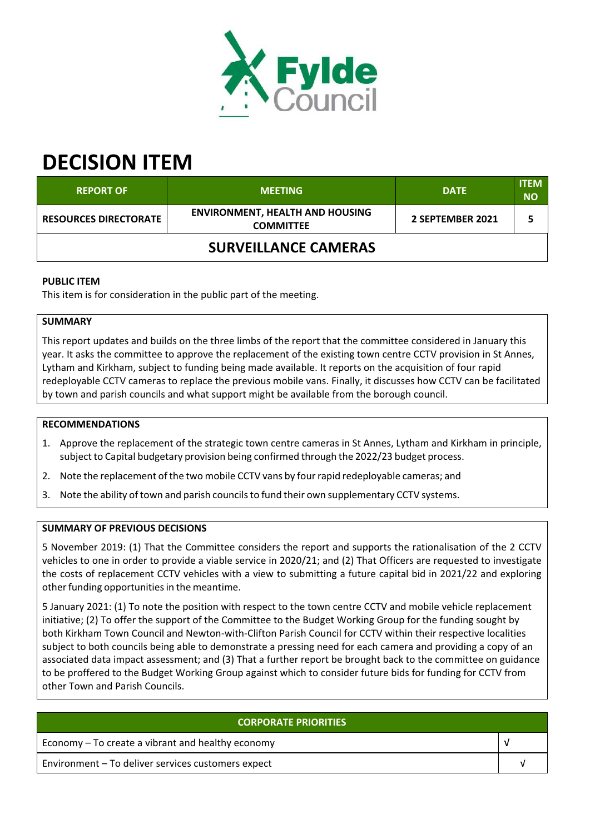

# **DECISION ITEM**

| <b>REPORT OF</b>             | <b>MEETING</b>                                             | <b>DATE</b>      | <b>ITEM</b><br><b>NO</b> |  |
|------------------------------|------------------------------------------------------------|------------------|--------------------------|--|
| <b>RESOURCES DIRECTORATE</b> | <b>ENVIRONMENT, HEALTH AND HOUSING</b><br><b>COMMITTEE</b> | 2 SEPTEMBER 2021 |                          |  |
| <b>SURVEILLANCE CAMERAS</b>  |                                                            |                  |                          |  |

## **PUBLIC ITEM**

This item is for consideration in the public part of the meeting.

# **SUMMARY**

This report updates and builds on the three limbs of the report that the committee considered in January this year. It asks the committee to approve the replacement of the existing town centre CCTV provision in St Annes, Lytham and Kirkham, subject to funding being made available. It reports on the acquisition of four rapid redeployable CCTV cameras to replace the previous mobile vans. Finally, it discusses how CCTV can be facilitated by town and parish councils and what support might be available from the borough council.

#### **RECOMMENDATIONS**

- 1. Approve the replacement of the strategic town centre cameras in St Annes, Lytham and Kirkham in principle, subject to Capital budgetary provision being confirmed through the 2022/23 budget process.
- 2. Note the replacement of the two mobile CCTV vans by fourrapid redeployable cameras; and
- 3. Note the ability of town and parish councilsto fund their own supplementary CCTV systems.

#### **SUMMARY OF PREVIOUS DECISIONS**

5 November 2019: (1) That the Committee considers the report and supports the rationalisation of the 2 CCTV vehicles to one in order to provide a viable service in 2020/21; and (2) That Officers are requested to investigate the costs of replacement CCTV vehicles with a view to submitting a future capital bid in 2021/22 and exploring other funding opportunities in the meantime.

5 January 2021: (1) To note the position with respect to the town centre CCTV and mobile vehicle replacement initiative; (2) To offer the support of the Committee to the Budget Working Group for the funding sought by both Kirkham Town Council and Newton‐with‐Clifton Parish Council for CCTV within their respective localities subject to both councils being able to demonstrate a pressing need for each camera and providing a copy of an associated data impact assessment; and (3) That a further report be brought back to the committee on guidance to be proffered to the Budget Working Group against which to consider future bids for funding for CCTV from other Town and Parish Councils.

| <b>CORPORATE PRIORITIES</b>                        |  |  |
|----------------------------------------------------|--|--|
| Economy – To create a vibrant and healthy economy  |  |  |
| Environment - To deliver services customers expect |  |  |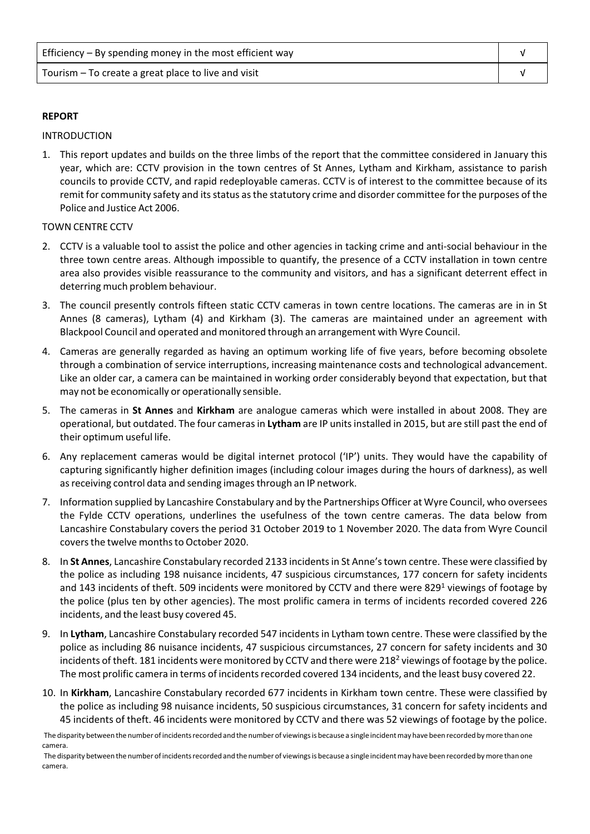| Efficiency $-$ By spending money in the most efficient way |  |
|------------------------------------------------------------|--|
| Tourism – To create a great place to live and visit        |  |

#### **REPORT**

#### INTRODUCTION

1. This report updates and builds on the three limbs of the report that the committee considered in January this year, which are: CCTV provision in the town centres of St Annes, Lytham and Kirkham, assistance to parish councils to provide CCTV, and rapid redeployable cameras. CCTV is of interest to the committee because of its remit for community safety and its status as the statutory crime and disorder committee for the purposes of the Police and Justice Act 2006.

#### TOWN CENTRE CCTV

- 2. CCTV is a valuable tool to assist the police and other agencies in tacking crime and anti‐social behaviour in the three town centre areas. Although impossible to quantify, the presence of a CCTV installation in town centre area also provides visible reassurance to the community and visitors, and has a significant deterrent effect in deterring much problem behaviour.
- 3. The council presently controls fifteen static CCTV cameras in town centre locations. The cameras are in in St Annes (8 cameras), Lytham (4) and Kirkham (3). The cameras are maintained under an agreement with Blackpool Council and operated and monitored through an arrangement with Wyre Council.
- 4. Cameras are generally regarded as having an optimum working life of five years, before becoming obsolete through a combination of service interruptions, increasing maintenance costs and technological advancement. Like an older car, a camera can be maintained in working order considerably beyond that expectation, but that may not be economically or operationally sensible.
- 5. The cameras in **St Annes** and **Kirkham** are analogue cameras which were installed in about 2008. They are operational, but outdated. The four camerasin **Lytham** are IP unitsinstalled in 2015, but are still past the end of their optimum useful life.
- 6. Any replacement cameras would be digital internet protocol ('IP') units. They would have the capability of capturing significantly higher definition images (including colour images during the hours of darkness), as well as receiving control data and sending images through an IP network.
- 7. Information supplied by Lancashire Constabulary and by the Partnerships Officer at Wyre Council, who oversees the Fylde CCTV operations, underlines the usefulness of the town centre cameras. The data below from Lancashire Constabulary covers the period 31 October 2019 to 1 November 2020. The data from Wyre Council covers the twelve months to October 2020.
- 8. In **St Annes**, Lancashire Constabulary recorded 2133 incidentsin St Anne'stown centre. These were classified by the police as including 198 nuisance incidents, 47 suspicious circumstances, 177 concern for safety incidents and 143 incidents of theft. 509 incidents were monitored by CCTV and there were 829<sup>1</sup> viewings of footage by the police (plus ten by other agencies). The most prolific camera in terms of incidents recorded covered 226 incidents, and the least busy covered 45.
- 9. In **Lytham**, Lancashire Constabulary recorded 547 incidentsin Lytham town centre. These were classified by the police as including 86 nuisance incidents, 47 suspicious circumstances, 27 concern for safety incidents and 30 incidents of theft. 181 incidents were monitored by CCTV and there were 218 2 viewings of footage by the police. The most prolific camera in terms of incidents recorded covered 134 incidents, and the least busy covered 22.
- 10. In **Kirkham**, Lancashire Constabulary recorded 677 incidents in Kirkham town centre. These were classified by the police as including 98 nuisance incidents, 50 suspicious circumstances, 31 concern for safety incidents and 45 incidents of theft. 46 incidents were monitored by CCTV and there was 52 viewings of footage by the police.

The disparity between the number of incidents recorded and the number of viewings is because a single incident may have been recorded by more than one camera.

The disparity between the number of incidents recorded and the number of viewings is because a single incident may have been recorded by more than one camera.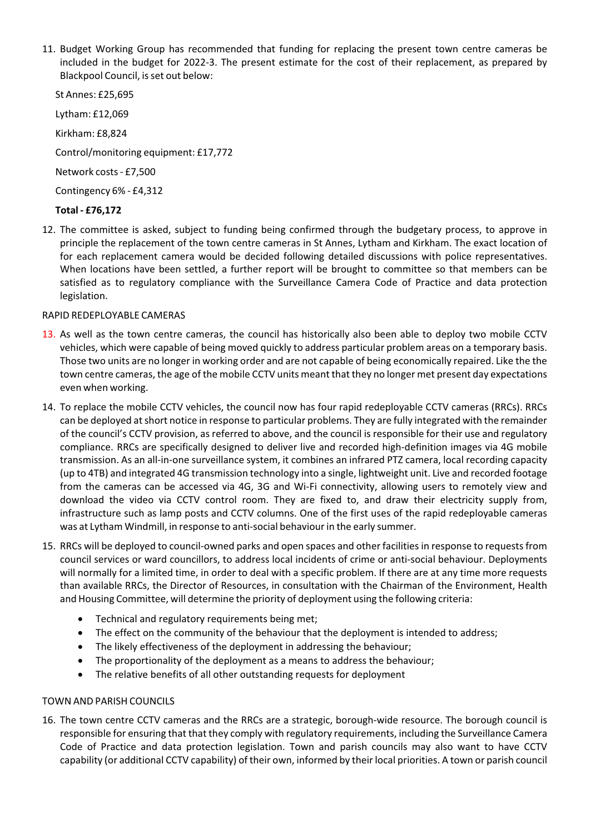11. Budget Working Group has recommended that funding for replacing the present town centre cameras be included in the budget for 2022‐3. The present estimate for the cost of their replacement, as prepared by Blackpool Council, is set out below:

St Annes: £25,695 Lytham: £12,069 Kirkham: £8,824 Control/monitoring equipment: £17,772 Network costs‐ £7,500 Contingency 6% ‐ £4,312

### **Total ‐ £76,172**

12. The committee is asked, subject to funding being confirmed through the budgetary process, to approve in principle the replacement of the town centre cameras in St Annes, Lytham and Kirkham. The exact location of for each replacement camera would be decided following detailed discussions with police representatives. When locations have been settled, a further report will be brought to committee so that members can be satisfied as to regulatory compliance with the Surveillance Camera Code of Practice and data protection legislation.

#### RAPID REDEPLOYABLE CAMERAS

- 13. As well as the town centre cameras, the council has historically also been able to deploy two mobile CCTV vehicles, which were capable of being moved quickly to address particular problem areas on a temporary basis. Those two units are no longer in working order and are not capable of being economically repaired. Like the the town centre cameras, the age of the mobile CCTV units meant that they no longer met present day expectations even when working.
- 14. To replace the mobile CCTV vehicles, the council now has four rapid redeployable CCTV cameras (RRCs). RRCs can be deployed at short notice in response to particular problems. They are fully integrated with the remainder of the council's CCTV provision, as referred to above, and the council is responsible for their use and regulatory compliance. RRCs are specifically designed to deliver live and recorded high‐definition images via 4G mobile transmission. As an all‐in‐one surveillance system, it combines an infrared PTZ camera, local recording capacity (up to 4TB) and integrated 4G transmission technology into a single, lightweight unit. Live and recorded footage from the cameras can be accessed via 4G, 3G and Wi‐Fi connectivity, allowing users to remotely view and download the video via CCTV control room. They are fixed to, and draw their electricity supply from, infrastructure such as lamp posts and CCTV columns. One of the first uses of the rapid redeployable cameras was at Lytham Windmill, in response to anti-social behaviour in the early summer.
- 15. RRCs will be deployed to council-owned parks and open spaces and other facilities in response to requests from council services or ward councillors, to address local incidents of crime or anti‐social behaviour. Deployments will normally for a limited time, in order to deal with a specific problem. If there are at any time more requests than available RRCs, the Director of Resources, in consultation with the Chairman of the Environment, Health and Housing Committee, will determine the priority of deployment using the following criteria:
	- Technical and regulatory requirements being met;
	- The effect on the community of the behaviour that the deployment is intended to address;
	- The likely effectiveness of the deployment in addressing the behaviour;
	- The proportionality of the deployment as a means to address the behaviour;
	- The relative benefits of all other outstanding requests for deployment

#### TOWN AND PARISH COUNCILS

16. The town centre CCTV cameras and the RRCs are a strategic, borough‐wide resource. The borough council is responsible for ensuring that that they comply with regulatory requirements, including the Surveillance Camera Code of Practice and data protection legislation. Town and parish councils may also want to have CCTV capability (or additional CCTV capability) of their own, informed by their local priorities. A town or parish council